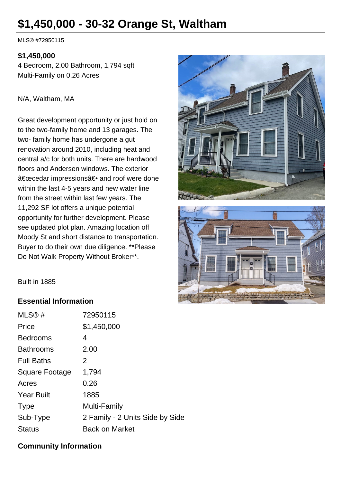# **\$1,450,000 - 30-32 Orange St, Waltham**

MLS® #72950115

#### **\$1,450,000**

4 Bedroom, 2.00 Bathroom, 1,794 sqft Multi-Family on 0.26 Acres

#### N/A, Waltham, MA

Great development opportunity or just hold on to the two-family home and 13 garages. The two- family home has undergone a gut renovation around 2010, including heat and central a/c for both units. There are hardwood floors and Andersen windows. The exterior "cedar impressions― and roof were done within the last 4-5 years and new water line from the street within last few years. The 11,292 SF lot offers a unique potential opportunity for further development. Please see updated plot plan. Amazing location off Moody St and short distance to transportation. Buyer to do their own due diligence. \*\*Please Do Not Walk Property Without Broker\*\*.





Built in 1885

### **Essential Information**

| MLS@#                 | 72950115                        |
|-----------------------|---------------------------------|
| Price                 | \$1,450,000                     |
| <b>Bedrooms</b>       | 4                               |
| <b>Bathrooms</b>      | 2.00                            |
| <b>Full Baths</b>     | 2                               |
| <b>Square Footage</b> | 1,794                           |
| Acres                 | 0.26                            |
| <b>Year Built</b>     | 1885                            |
| <b>Type</b>           | Multi-Family                    |
| Sub-Type              | 2 Family - 2 Units Side by Side |
| <b>Status</b>         | <b>Back on Market</b>           |

### **Community Information**